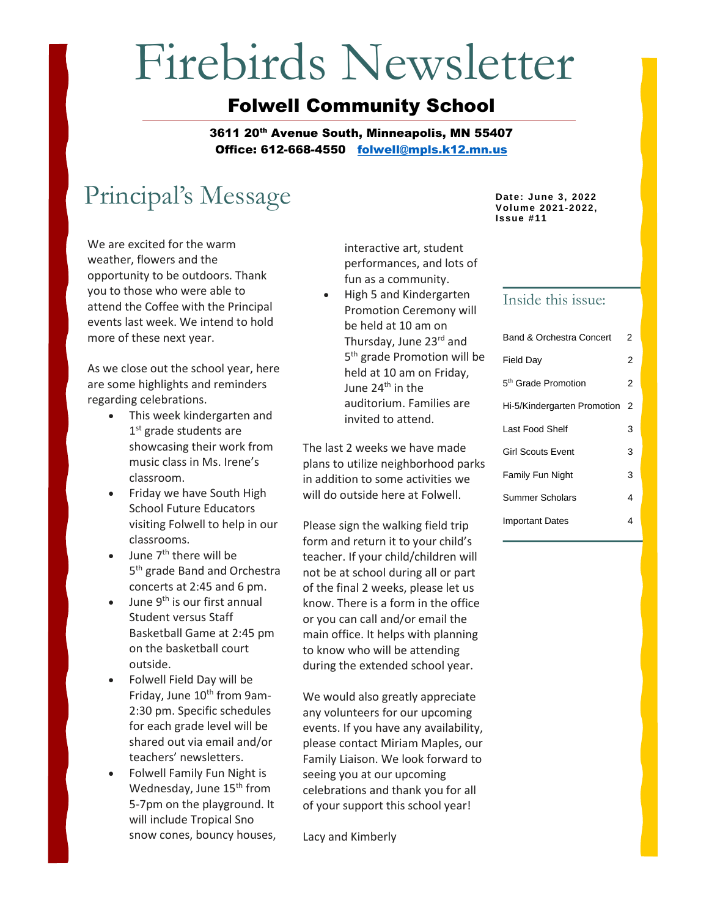# Firebirds Newsletter

#### Folwell Community School

3611 20<sup>th</sup> Avenue South, Minneapolis, MN 55407 Office: 612-668-4550 [folwell@mpls.k12.mn.us](mailto:folwell@mpls.k12.mn.us)

# Principal's Message **Date:** June 3, 2022

We are excited for the warm weather, flowers and the opportunity to be outdoors. Thank you to those who were able to attend the Coffee with the Principal events last week. We intend to hold more of these next year.

As we close out the school year, here are some highlights and reminders regarding celebrations.

- This week kindergarten and 1<sup>st</sup> grade students are showcasing their work from music class in Ms. Irene's classroom.
- Friday we have South High School Future Educators visiting Folwell to help in our classrooms.
- $\bullet$  June  $7<sup>th</sup>$  there will be 5 th grade Band and Orchestra concerts at 2:45 and 6 pm.
- June  $9^{th}$  is our first annual Student versus Staff Basketball Game at 2:45 pm on the basketball court outside.
- Folwell Field Day will be Friday, June 10<sup>th</sup> from 9am-2:30 pm. Specific schedules for each grade level will be shared out via email and/or teachers' newsletters.
- Folwell Family Fun Night is Wednesday, June 15<sup>th</sup> from 5-7pm on the playground. It will include Tropical Sno snow cones, bouncy houses,

interactive art, student performances, and lots of fun as a community.

• High 5 and Kindergarten Promotion Ceremony will be held at 10 am on Thursday, June 23<sup>rd</sup> and 5<sup>th</sup> grade Promotion will be held at 10 am on Friday, June 24<sup>th</sup> in the auditorium. Families are invited to attend.

The last 2 weeks we have made plans to utilize neighborhood parks in addition to some activities we will do outside here at Folwell.

Please sign the walking field trip form and return it to your child's teacher. If your child/children will not be at school during all or part of the final 2 weeks, please let us know. There is a form in the office or you can call and/or email the main office. It helps with planning to know who will be attending during the extended school year.

We would also greatly appreciate any volunteers for our upcoming events. If you have any availability, please contact Miriam Maples, our Family Liaison. We look forward to seeing you at our upcoming celebrations and thank you for all of your support this school year!

Lacy and Kimberly

**Volume 2021-2022, Issue #11**

#### Inside this issue:

| Band & Orchestra Concert        | 2 |
|---------------------------------|---|
| <b>Field Day</b>                | 2 |
| 5 <sup>th</sup> Grade Promotion | 2 |
| Hi-5/Kindergarten Promotion     | 2 |
| Last Food Shelf                 | 3 |
| <b>Girl Scouts Event</b>        | 3 |
| <b>Family Fun Night</b>         | 3 |
| Summer Scholars                 | 4 |
| Important Dates                 | 4 |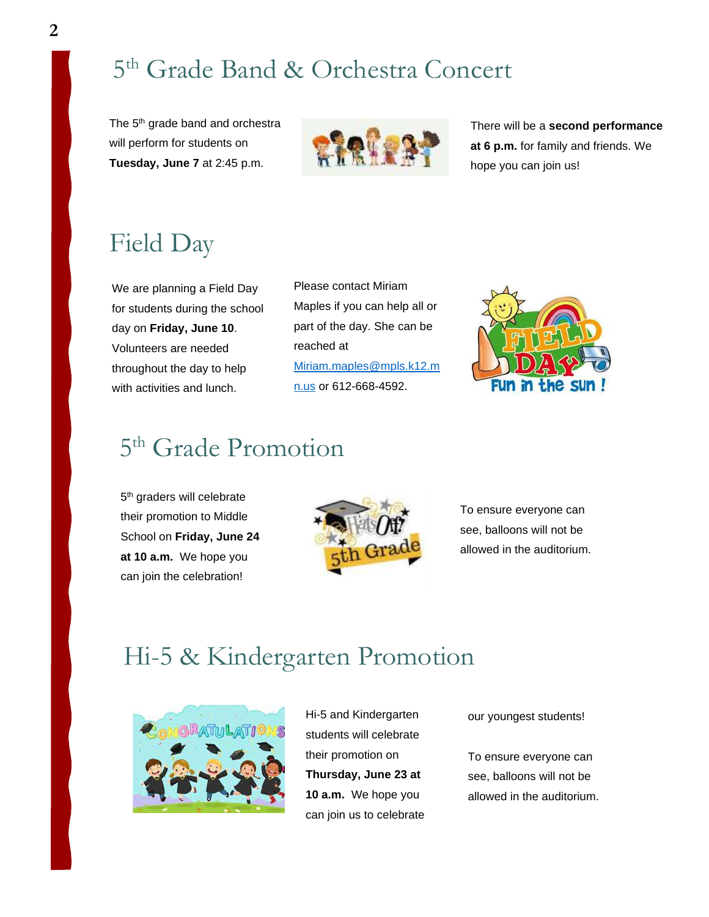# 5 th Grade Band & Orchestra Concert

The 5<sup>th</sup> grade band and orchestra will perform for students on **Tuesday, June 7** at 2:45 p.m.



There will be a **second performance at 6 p.m.** for family and friends. We hope you can join us!

# Field Day

We are planning a Field Day for students during the school day on **Friday, June 10**. Volunteers are needed throughout the day to help with activities and lunch.

Please contact Miriam Maples if you can help all or part of the day. She can be reached at [Miriam.maples@mpls.k12.m](mailto:Miriam.maples@mpls.k12.mn.us) [n.us](mailto:Miriam.maples@mpls.k12.mn.us) or 612-668-4592.



### 5<sup>th</sup> Grade Promotion

5<sup>th</sup> graders will celebrate their promotion to Middle School on **Friday, June 24 at 10 a.m.** We hope you can join the celebration!



To ensure everyone can see, balloons will not be allowed in the auditorium.

#### Hi-5 & Kindergarten Promotion



Hi-5 and Kindergarten students will celebrate their promotion on **Thursday, June 23 at 10 a.m.** We hope you can join us to celebrate

our youngest students!

To ensure everyone can see, balloons will not be allowed in the auditorium.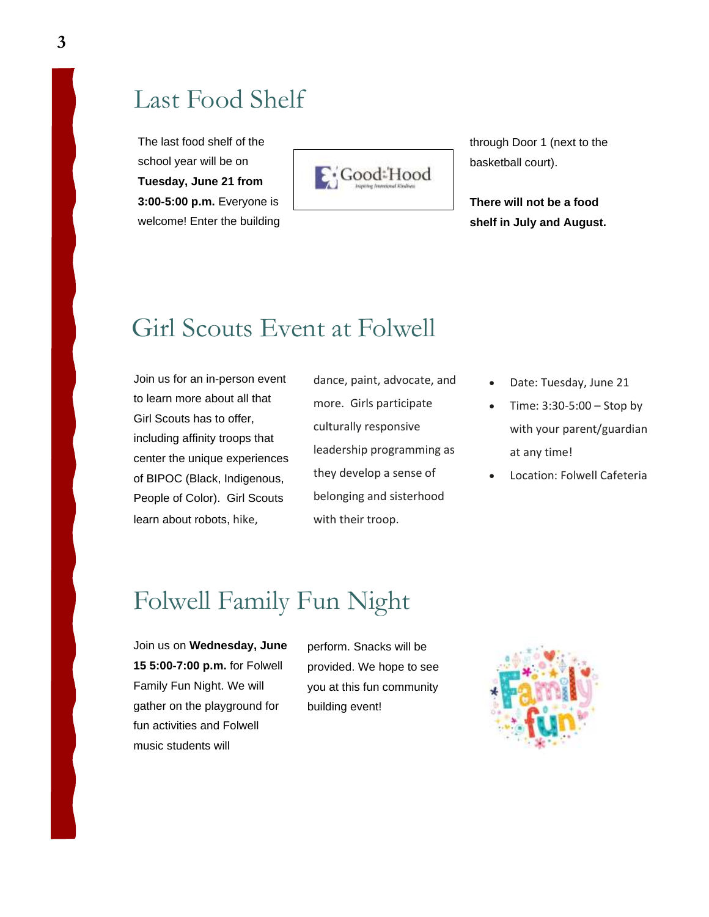#### Last Food Shelf

The last food shelf of the school year will be on **Tuesday, June 21 from 3:00-5:00 p.m.** Everyone is welcome! Enter the building



through Door 1 (next to the basketball court).

**There will not be a food shelf in July and August.**

#### Girl Scouts Event at Folwell

Join us for an in-person event to learn more about all that Girl Scouts has to offer, including affinity troops that center the unique experiences of BIPOC (Black, Indigenous, People of Color). Girl Scouts learn about robots, hike,

dance, paint, advocate, and more. Girls participate culturally responsive leadership programming as they develop a sense of belonging and sisterhood with their troop.

- Date: Tuesday, June 21
- Time: 3:30-5:00 Stop by with your parent/guardian at any time!
- Location: Folwell Cafeteria

#### Folwell Family Fun Night

Join us on **Wednesday, June 15 5:00-7:00 p.m.** for Folwell Family Fun Night. We will gather on the playground for fun activities and Folwell music students will

perform. Snacks will be provided. We hope to see you at this fun community building event!